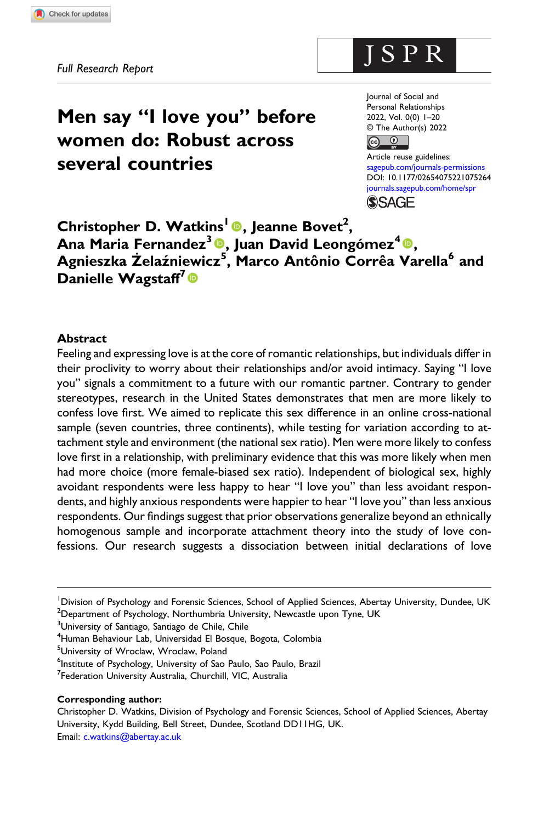# Men say "I love you" before women do: Robust across several countries

Journal of Social and Personal Relationships 2022, Vol. 0(0) 1–20 © The Author(s) 2022 

ISPR

Article reuse guidelines: [sagepub.com/journals-permissions](https://uk.sagepub.com/en-gb/journals-permissions) DOI: [10.1177/02654075221075264](https://doi.org/10.1177/02654075221075264) [journals.sagepub.com/home/spr](https://journals.sagepub.com/home/spr) **SSAGE** 

Christopher D. Watkins<sup>1</sup> ., Jeanne Bovet<sup>2</sup>, Ana Maria Fernandez<sup>3</sup> $\bullet$ , Juan David Leongómez<sup>4</sup> $\bullet$ , Agnieszka Żelaźniewicz<sup>5</sup>, Marco Antônio Corrêa Varella<sup>6</sup> and Danielle Wagstaff<sup>7</sup>

## **Abstract**

Feeling and expressing love is at the core of romantic relationships, but individuals differ in their proclivity to worry about their relationships and/or avoid intimacy. Saying "I love you" signals a commitment to a future with our romantic partner. Contrary to gender stereotypes, research in the United States demonstrates that men are more likely to confess love first. We aimed to replicate this sex difference in an online cross-national sample (seven countries, three continents), while testing for variation according to attachment style and environment (the national sex ratio). Men were more likely to confess love first in a relationship, with preliminary evidence that this was more likely when men had more choice (more female-biased sex ratio). Independent of biological sex, highly avoidant respondents were less happy to hear "I love you" than less avoidant respondents, and highly anxious respondents were happier to hear "I love you" than less anxious respondents. Our findings suggest that prior observations generalize beyond an ethnically homogenous sample and incorporate attachment theory into the study of love confessions. Our research suggests a dissociation between initial declarations of love

<sup>3</sup>University of Santiago, Santiago de Chile, Chile

4 Human Behaviour Lab, Universidad El Bosque, Bogota, Colombia

5 University of Wroclaw, Wroclaw, Poland

<sup>7</sup>Federation University Australia, Churchill, VIC, Australia

#### Corresponding author:

Christopher D. Watkins, Division of Psychology and Forensic Sciences, School of Applied Sciences, Abertay University, Kydd Building, Bell Street, Dundee, Scotland DD11HG, UK. Email: [c.watkins@abertay.ac.uk](mailto:c.watkins@abertay.ac.uk)

<sup>&</sup>lt;sup>1</sup> Division of Psychology and Forensic Sciences, School of Applied Sciences, Abertay University, Dundee, UK  $^{2}$ Department of Psychology, Northumbria University, Newcastle upon Tyne, UK

<sup>6</sup> Institute of Psychology, University of Sao Paulo, Sao Paulo, Brazil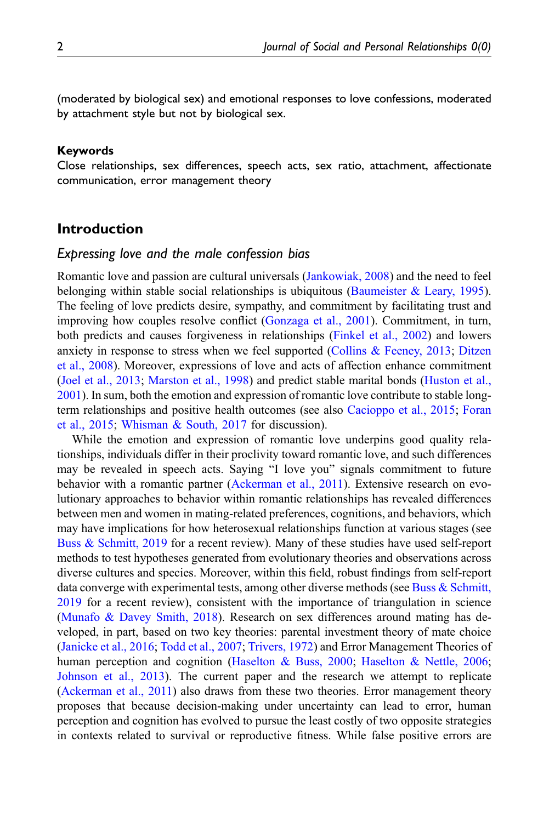(moderated by biological sex) and emotional responses to love confessions, moderated by attachment style but not by biological sex.

#### Keywords

Close relationships, sex differences, speech acts, sex ratio, attachment, affectionate communication, error management theory

# Introduction

#### Expressing love and the male confession bias

Romantic love and passion are cultural universals ([Jankowiak, 2008](#page-16-0)) and the need to feel belonging within stable social relationships is ubiquitous (Baumeister  $\&$  Leary, 1995). The feeling of love predicts desire, sympathy, and commitment by facilitating trust and improving how couples resolve conflict ([Gonzaga et al., 2001\)](#page-16-1). Commitment, in turn, both predicts and causes forgiveness in relationships ([Finkel et al., 2002\)](#page-16-2) and lowers anxiety in response to stress when we feel supported (Collins  $\&$  Feeney, 2013; [Ditzen](#page-15-2) [et al., 2008](#page-15-2)). Moreover, expressions of love and acts of affection enhance commitment [\(Joel et al., 2013;](#page-17-0) [Marston et al., 1998\)](#page-17-1) and predict stable marital bonds [\(Huston et al.,](#page-16-3) [2001\)](#page-16-3). In sum, both the emotion and expression of romantic love contribute to stable longterm relationships and positive health outcomes (see also [Cacioppo et al., 2015](#page-15-3); [Foran](#page-16-4) [et al., 2015;](#page-16-4) [Whisman & South, 2017](#page-19-0) for discussion).

While the emotion and expression of romantic love underpins good quality relationships, individuals differ in their proclivity toward romantic love, and such differences may be revealed in speech acts. Saying "I love you" signals commitment to future behavior with a romantic partner [\(Ackerman et al., 2011](#page-14-0)). Extensive research on evolutionary approaches to behavior within romantic relationships has revealed differences between men and women in mating-related preferences, cognitions, and behaviors, which may have implications for how heterosexual relationships function at various stages (see [Buss & Schmitt, 2019](#page-15-4) for a recent review). Many of these studies have used self-report methods to test hypotheses generated from evolutionary theories and observations across diverse cultures and species. Moreover, within this field, robust findings from self-report data converge with experimental tests, among other diverse methods (see [Buss & Schmitt,](#page-15-4) [2019](#page-15-4) for a recent review), consistent with the importance of triangulation in science [\(Munafo & Davey Smith, 2018\)](#page-17-2). Research on sex differences around mating has developed, in part, based on two key theories: parental investment theory of mate choice [\(Janicke et al., 2016](#page-16-5); [Todd et al., 2007](#page-18-0); [Trivers, 1972\)](#page-18-1) and Error Management Theories of human perception and cognition ([Haselton & Buss, 2000](#page-16-6); [Haselton & Nettle, 2006;](#page-16-7) [Johnson et al., 2013\)](#page-17-3). The current paper and the research we attempt to replicate [\(Ackerman et al., 2011](#page-14-0)) also draws from these two theories. Error management theory proposes that because decision-making under uncertainty can lead to error, human perception and cognition has evolved to pursue the least costly of two opposite strategies in contexts related to survival or reproductive fitness. While false positive errors are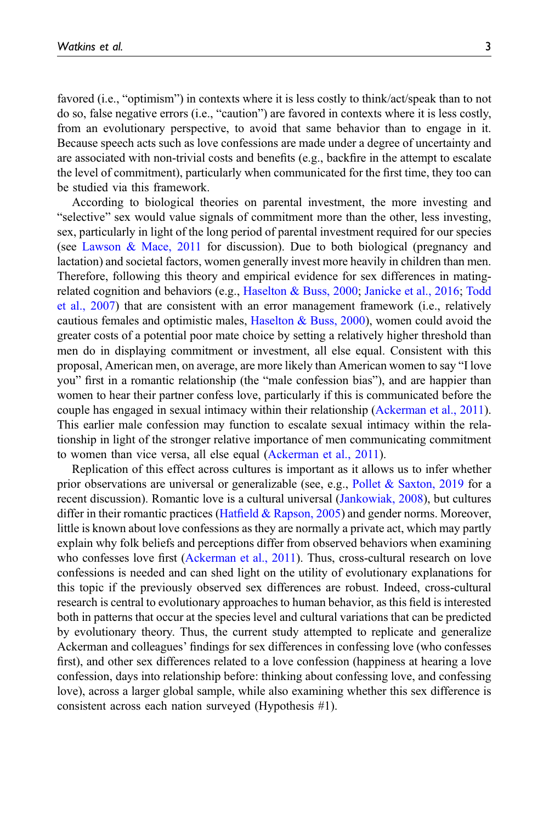favored (i.e., "optimism") in contexts where it is less costly to think/act/speak than to not do so, false negative errors (i.e., "caution") are favored in contexts where it is less costly, from an evolutionary perspective, to avoid that same behavior than to engage in it. Because speech acts such as love confessions are made under a degree of uncertainty and are associated with non-trivial costs and benefits (e.g., backfire in the attempt to escalate the level of commitment), particularly when communicated for the first time, they too can be studied via this framework.

According to biological theories on parental investment, the more investing and "selective" sex would value signals of commitment more than the other, less investing, sex, particularly in light of the long period of parental investment required for our species (see [Lawson & Mace, 2011](#page-17-4) for discussion). Due to both biological (pregnancy and lactation) and societal factors, women generally invest more heavily in children than men. Therefore, following this theory and empirical evidence for sex differences in matingrelated cognition and behaviors (e.g., [Haselton & Buss, 2000;](#page-16-6) [Janicke et al., 2016](#page-16-5); [Todd](#page-18-0) [et al., 2007\)](#page-18-0) that are consistent with an error management framework (i.e., relatively cautious females and optimistic males, Haselton & Buss,  $2000$ ), women could avoid the greater costs of a potential poor mate choice by setting a relatively higher threshold than men do in displaying commitment or investment, all else equal. Consistent with this proposal, American men, on average, are more likely than American women to say "I love you" first in a romantic relationship (the "male confession bias"), and are happier than women to hear their partner confess love, particularly if this is communicated before the couple has engaged in sexual intimacy within their relationship ([Ackerman et al., 2011\)](#page-14-0). This earlier male confession may function to escalate sexual intimacy within the relationship in light of the stronger relative importance of men communicating commitment to women than vice versa, all else equal ([Ackerman et al., 2011\)](#page-14-0).

Replication of this effect across cultures is important as it allows us to infer whether prior observations are universal or generalizable (see, e.g., [Pollet & Saxton, 2019](#page-18-2) for a recent discussion). Romantic love is a cultural universal ([Jankowiak, 2008](#page-16-0)), but cultures differ in their romantic practices (Hatfield  $&$  Rapson, 2005) and gender norms. Moreover, little is known about love confessions as they are normally a private act, which may partly explain why folk beliefs and perceptions differ from observed behaviors when examining who confesses love first [\(Ackerman et al., 2011\)](#page-14-0). Thus, cross-cultural research on love confessions is needed and can shed light on the utility of evolutionary explanations for this topic if the previously observed sex differences are robust. Indeed, cross-cultural research is central to evolutionary approaches to human behavior, as this field is interested both in patterns that occur at the species level and cultural variations that can be predicted by evolutionary theory. Thus, the current study attempted to replicate and generalize Ackerman and colleagues' findings for sex differences in confessing love (who confesses first), and other sex differences related to a love confession (happiness at hearing a love confession, days into relationship before: thinking about confessing love, and confessing love), across a larger global sample, while also examining whether this sex difference is consistent across each nation surveyed (Hypothesis #1).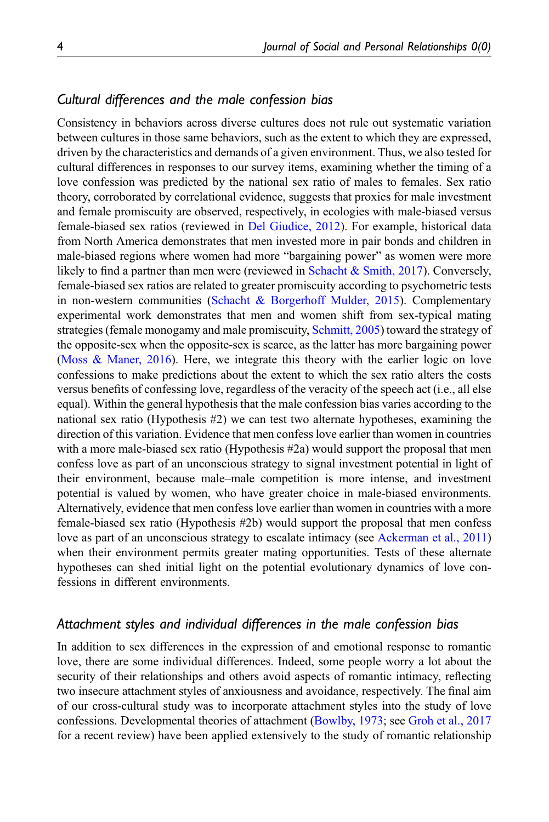## Cultural differences and the male confession bias

Consistency in behaviors across diverse cultures does not rule out systematic variation between cultures in those same behaviors, such as the extent to which they are expressed, driven by the characteristics and demands of a given environment. Thus, we also tested for cultural differences in responses to our survey items, examining whether the timing of a love confession was predicted by the national sex ratio of males to females. Sex ratio theory, corroborated by correlational evidence, suggests that proxies for male investment and female promiscuity are observed, respectively, in ecologies with male-biased versus female-biased sex ratios (reviewed in [Del Giudice, 2012\)](#page-15-5). For example, historical data from North America demonstrates that men invested more in pair bonds and children in male-biased regions where women had more "bargaining power" as women were more likely to find a partner than men were (reviewed in [Schacht & Smith, 2017](#page-18-3)). Conversely, female-biased sex ratios are related to greater promiscuity according to psychometric tests in non-western communities [\(Schacht & Borgerhoff Mulder, 2015](#page-18-4)). Complementary experimental work demonstrates that men and women shift from sex-typical mating strategies (female monogamy and male promiscuity, [Schmitt, 2005\)](#page-18-5) toward the strategy of the opposite-sex when the opposite-sex is scarce, as the latter has more bargaining power [\(Moss & Maner, 2016](#page-17-5)). Here, we integrate this theory with the earlier logic on love confessions to make predictions about the extent to which the sex ratio alters the costs versus benefits of confessing love, regardless of the veracity of the speech act (i.e., all else equal). Within the general hypothesis that the male confession bias varies according to the national sex ratio (Hypothesis #2) we can test two alternate hypotheses, examining the direction of this variation. Evidence that men confess love earlier than women in countries with a more male-biased sex ratio (Hypothesis #2a) would support the proposal that men confess love as part of an unconscious strategy to signal investment potential in light of their environment, because male–male competition is more intense, and investment potential is valued by women, who have greater choice in male-biased environments. Alternatively, evidence that men confess love earlier than women in countries with a more female-biased sex ratio (Hypothesis #2b) would support the proposal that men confess love as part of an unconscious strategy to escalate intimacy (see [Ackerman et al., 2011\)](#page-14-0) when their environment permits greater mating opportunities. Tests of these alternate hypotheses can shed initial light on the potential evolutionary dynamics of love confessions in different environments.

## Attachment styles and individual differences in the male confession bias

In addition to sex differences in the expression of and emotional response to romantic love, there are some individual differences. Indeed, some people worry a lot about the security of their relationships and others avoid aspects of romantic intimacy, reflecting two insecure attachment styles of anxiousness and avoidance, respectively. The final aim of our cross-cultural study was to incorporate attachment styles into the study of love confessions. Developmental theories of attachment [\(Bowlby, 1973](#page-15-6); see [Groh et al., 2017](#page-16-9) for a recent review) have been applied extensively to the study of romantic relationship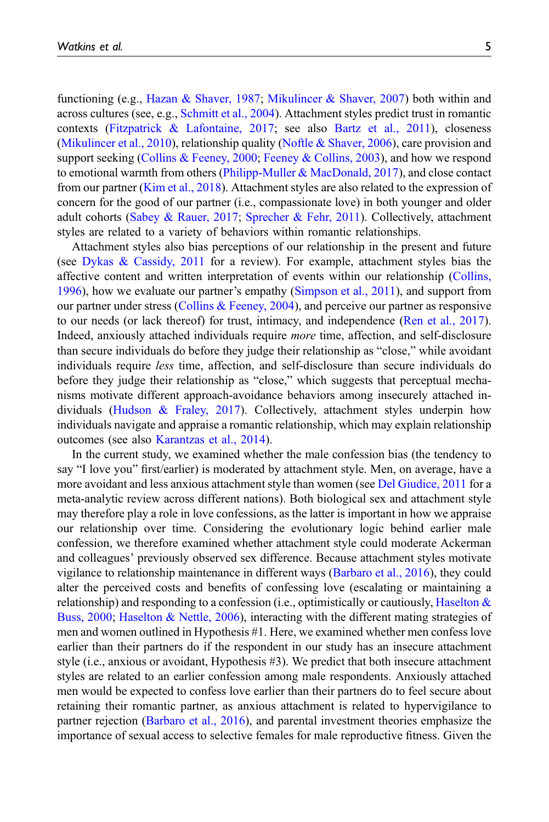functioning (e.g., [Hazan & Shaver, 1987;](#page-16-10) [Mikulincer & Shaver, 2007](#page-17-6)) both within and across cultures (see, e.g., [Schmitt et al., 2004\)](#page-18-6). Attachment styles predict trust in romantic contexts [\(Fitzpatrick & Lafontaine, 2017](#page-16-11); see also [Bartz et al., 2011](#page-15-7)), closeness [\(Mikulincer et al., 2010](#page-17-7)), relationship quality ([Noftle & Shaver, 2006](#page-17-8)), care provision and support seeking ([Collins & Feeney, 2000](#page-15-8); [Feeney & Collins, 2003\)](#page-16-12), and how we respond to emotional warmth from others ([Philipp-Muller & MacDonald, 2017](#page-17-9)), and close contact from our partner ([Kim et al., 2018](#page-17-10)). Attachment styles are also related to the expression of concern for the good of our partner (i.e., compassionate love) in both younger and older adult cohorts ([Sabey & Rauer, 2017](#page-18-7); [Sprecher & Fehr, 2011\)](#page-18-8). Collectively, attachment styles are related to a variety of behaviors within romantic relationships.

Attachment styles also bias perceptions of our relationship in the present and future (see [Dykas & Cassidy, 2011](#page-15-9) for a review). For example, attachment styles bias the affective content and written interpretation of events within our relationship [\(Collins,](#page-15-10) [1996\)](#page-15-10), how we evaluate our partner's empathy [\(Simpson et al., 2011](#page-18-9)), and support from our partner under stress ([Collins & Feeney, 2004](#page-15-11)), and perceive our partner as responsive to our needs (or lack thereof) for trust, intimacy, and independence [\(Ren et al., 2017\)](#page-18-10). Indeed, anxiously attached individuals require more time, affection, and self-disclosure than secure individuals do before they judge their relationship as "close," while avoidant individuals require less time, affection, and self-disclosure than secure individuals do before they judge their relationship as "close," which suggests that perceptual mechanisms motivate different approach-avoidance behaviors among insecurely attached individuals [\(Hudson & Fraley, 2017\)](#page-16-13). Collectively, attachment styles underpin how individuals navigate and appraise a romantic relationship, which may explain relationship outcomes (see also [Karantzas et al., 2014](#page-17-11)).

In the current study, we examined whether the male confession bias (the tendency to say "I love you" first/earlier) is moderated by attachment style. Men, on average, have a more avoidant and less anxious attachment style than women (see [Del Giudice, 2011](#page-15-12) for a meta-analytic review across different nations). Both biological sex and attachment style may therefore play a role in love confessions, as the latter is important in how we appraise our relationship over time. Considering the evolutionary logic behind earlier male confession, we therefore examined whether attachment style could moderate Ackerman and colleagues' previously observed sex difference. Because attachment styles motivate vigilance to relationship maintenance in different ways [\(Barbaro et al., 2016\)](#page-14-1), they could alter the perceived costs and benefits of confessing love (escalating or maintaining a relationship) and responding to a confession (i.e., optimistically or cautiously, Haselton  $\&$ [Buss, 2000](#page-16-6); [Haselton & Nettle, 2006](#page-16-7)), interacting with the different mating strategies of men and women outlined in Hypothesis #1. Here, we examined whether men confess love earlier than their partners do if the respondent in our study has an insecure attachment style (i.e., anxious or avoidant, Hypothesis #3). We predict that both insecure attachment styles are related to an earlier confession among male respondents. Anxiously attached men would be expected to confess love earlier than their partners do to feel secure about retaining their romantic partner, as anxious attachment is related to hypervigilance to partner rejection ([Barbaro et al., 2016\)](#page-14-1), and parental investment theories emphasize the importance of sexual access to selective females for male reproductive fitness. Given the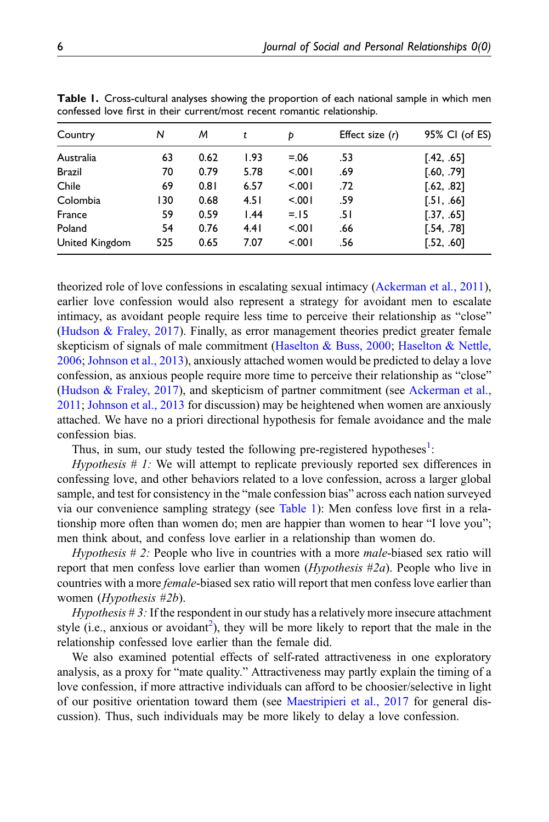| Country        | N   | м    | t    | Þ      | Effect size $(r)$ | 95% CI (of ES) |
|----------------|-----|------|------|--------|-------------------|----------------|
| Australia      | 63  | 0.62 | 1.93 | $=.06$ | .53               | [.42, .65]     |
| <b>Brazil</b>  | 70  | 0.79 | 5.78 | < 0.01 | .69               | [.60, .79]     |
| Chile          | 69  | 0.81 | 6.57 | 5.001  | .72               | [.62, .82]     |
| Colombia       | 130 | 0.68 | 4.51 | 5.001  | .59               | [.51, .66]     |
| France         | 59  | 0.59 | 1.44 | $=15$  | ا 5.              | [.37, .65]     |
| Poland         | 54  | 0.76 | 4.41 | 5.001  | .66               | [.54, .78]     |
| United Kingdom | 525 | 0.65 | 7.07 | 5.001  | .56               | [.52, .60]     |

<span id="page-5-0"></span>Table 1. Cross-cultural analyses showing the proportion of each national sample in which men confessed love first in their current/most recent romantic relationship.

theorized role of love confessions in escalating sexual intimacy ([Ackerman et al., 2011\)](#page-14-0), earlier love confession would also represent a strategy for avoidant men to escalate intimacy, as avoidant people require less time to perceive their relationship as "close" [\(Hudson & Fraley, 2017\)](#page-16-13). Finally, as error management theories predict greater female skepticism of signals of male commitment ([Haselton & Buss, 2000](#page-16-6); [Haselton & Nettle,](#page-16-7) [2006;](#page-16-7) [Johnson et al., 2013](#page-17-3)), anxiously attached women would be predicted to delay a love confession, as anxious people require more time to perceive their relationship as "close" [\(Hudson & Fraley, 2017](#page-16-13)), and skepticism of partner commitment (see [Ackerman et al.,](#page-14-0) [2011;](#page-14-0) [Johnson et al., 2013](#page-17-3) for discussion) may be heightened when women are anxiously attached. We have no a priori directional hypothesis for female avoidance and the male confession bias.

Thus, in sum, our study tested the following pre-registered hypotheses<sup>[1](#page-14-2)</sup>:

*Hypothesis*  $\# I$ : We will attempt to replicate previously reported sex differences in confessing love, and other behaviors related to a love confession, across a larger global sample, and test for consistency in the "male confession bias" across each nation surveyed via our convenience sampling strategy (see [Table 1\)](#page-5-0): Men confess love first in a relationship more often than women do; men are happier than women to hear "I love you"; men think about, and confess love earlier in a relationship than women do.

Hypothesis # 2: People who live in countries with a more male-biased sex ratio will report that men confess love earlier than women (Hypothesis #2a). People who live in countries with a more *female*-biased sex ratio will report that men confess love earlier than women (Hypothesis #2b).

Hypothesis  $\sharp$  3: If the respondent in our study has a relatively more insecure attachment style (i.e., anxious or avoidant<sup>2</sup>), they will be more likely to report that the male in the relationship confessed love earlier than the female did.

We also examined potential effects of self-rated attractiveness in one exploratory analysis, as a proxy for "mate quality." Attractiveness may partly explain the timing of a love confession, if more attractive individuals can afford to be choosier/selective in light of our positive orientation toward them (see [Maestripieri et al., 2017](#page-17-12) for general discussion). Thus, such individuals may be more likely to delay a love confession.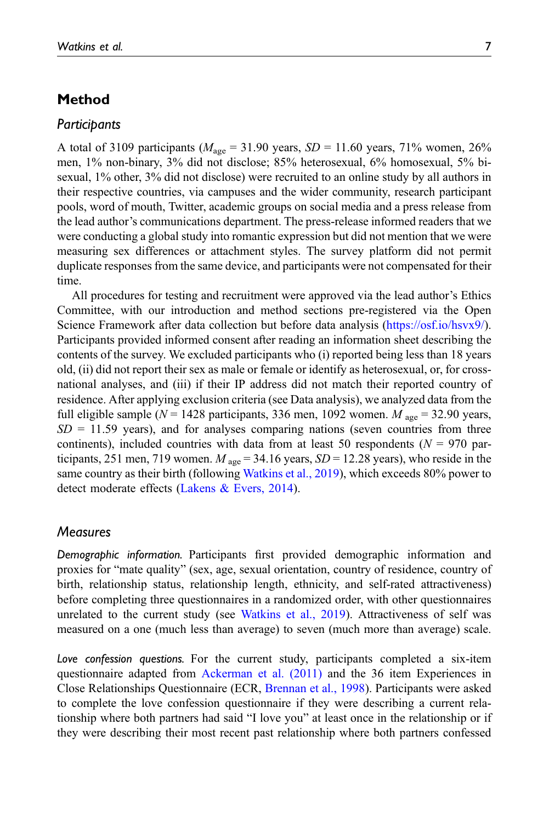# Method

## **Participants**

A total of 3109 participants ( $M_{\text{age}} = 31.90$  years,  $SD = 11.60$  years, 71% women, 26% men, 1% non-binary, 3% did not disclose; 85% heterosexual, 6% homosexual, 5% bisexual, 1% other, 3% did not disclose) were recruited to an online study by all authors in their respective countries, via campuses and the wider community, research participant pools, word of mouth, Twitter, academic groups on social media and a press release from the lead author's communications department. The press-release informed readers that we were conducting a global study into romantic expression but did not mention that we were measuring sex differences or attachment styles. The survey platform did not permit duplicate responses from the same device, and participants were not compensated for their time.

All procedures for testing and recruitment were approved via the lead author's Ethics Committee, with our introduction and method sections pre-registered via the Open Science Framework after data collection but before data analysis ([https://osf.io/hsvx9/\)](https://osf.io/hsvx9/). Participants provided informed consent after reading an information sheet describing the contents of the survey. We excluded participants who (i) reported being less than 18 years old, (ii) did not report their sex as male or female or identify as heterosexual, or, for crossnational analyses, and (iii) if their IP address did not match their reported country of residence. After applying exclusion criteria (see Data analysis), we analyzed data from the full eligible sample ( $N = 1428$  participants, 336 men, 1092 women.  $M_{\text{age}} = 32.90$  years,  $SD = 11.59$  years), and for analyses comparing nations (seven countries from three continents), included countries with data from at least 50 respondents ( $N = 970$  participants, 251 men, 719 women.  $M_{\text{age}} = 34.16$  years,  $SD = 12.28$  years), who reside in the same country as their birth (following [Watkins et al., 2019\)](#page-19-1), which exceeds 80% power to detect moderate effects [\(Lakens & Evers, 2014\)](#page-17-13).

# **Measures**

Demographic information. Participants first provided demographic information and proxies for "mate quality" (sex, age, sexual orientation, country of residence, country of birth, relationship status, relationship length, ethnicity, and self-rated attractiveness) before completing three questionnaires in a randomized order, with other questionnaires unrelated to the current study (see [Watkins et al., 2019\)](#page-19-1). Attractiveness of self was measured on a one (much less than average) to seven (much more than average) scale.

Love confession questions. For the current study, participants completed a six-item questionnaire adapted from [Ackerman et al. \(2011\)](#page-14-0) and the 36 item Experiences in Close Relationships Questionnaire (ECR, [Brennan et al., 1998](#page-15-13)). Participants were asked to complete the love confession questionnaire if they were describing a current relationship where both partners had said "I love you" at least once in the relationship or if they were describing their most recent past relationship where both partners confessed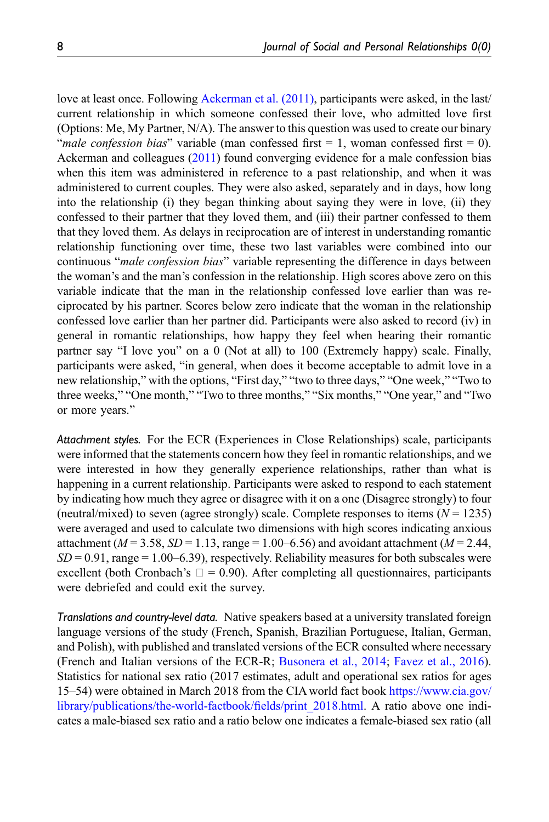love at least once. Following [Ackerman et al. \(2011\)](#page-14-0), participants were asked, in the last/ current relationship in which someone confessed their love, who admitted love first (Options: Me, My Partner, N/A). The answer to this question was used to create our binary "male confession bias" variable (man confessed first  $= 1$ , woman confessed first  $= 0$ ). Ackerman and colleagues ([2011\)](#page-14-0) found converging evidence for a male confession bias when this item was administered in reference to a past relationship, and when it was administered to current couples. They were also asked, separately and in days, how long into the relationship (i) they began thinking about saying they were in love, (ii) they confessed to their partner that they loved them, and (iii) their partner confessed to them that they loved them. As delays in reciprocation are of interest in understanding romantic relationship functioning over time, these two last variables were combined into our continuous "male confession bias" variable representing the difference in days between the woman's and the man's confession in the relationship. High scores above zero on this variable indicate that the man in the relationship confessed love earlier than was reciprocated by his partner. Scores below zero indicate that the woman in the relationship confessed love earlier than her partner did. Participants were also asked to record (iv) in general in romantic relationships, how happy they feel when hearing their romantic partner say "I love you" on a 0 (Not at all) to 100 (Extremely happy) scale. Finally, participants were asked, "in general, when does it become acceptable to admit love in a new relationship," with the options, "First day," "two to three days," "One week," "Two to three weeks," "One month," "Two to three months," "Six months," "One year," and "Two or more years."

Attachment styles. For the ECR (Experiences in Close Relationships) scale, participants were informed that the statements concern how they feel in romantic relationships, and we were interested in how they generally experience relationships, rather than what is happening in a current relationship. Participants were asked to respond to each statement by indicating how much they agree or disagree with it on a one (Disagree strongly) to four (neutral/mixed) to seven (agree strongly) scale. Complete responses to items  $(N = 1235)$ were averaged and used to calculate two dimensions with high scores indicating anxious attachment ( $M = 3.58$ ,  $SD = 1.13$ , range = 1.00–6.56) and avoidant attachment ( $M = 2.44$ ,  $SD = 0.91$ , range = 1.00–6.39), respectively. Reliability measures for both subscales were excellent (both Cronbach's  $\Box = 0.90$ ). After completing all questionnaires, participants were debriefed and could exit the survey.

Translations and country-level data. Native speakers based at a university translated foreign language versions of the study (French, Spanish, Brazilian Portuguese, Italian, German, and Polish), with published and translated versions of the ECR consulted where necessary (French and Italian versions of the ECR-R; [Busonera et al., 2014;](#page-15-14) [Favez et al., 2016\)](#page-15-15). Statistics for national sex ratio (2017 estimates, adult and operational sex ratios for ages 15–54) were obtained in March 2018 from the CIA world fact book [https://www.cia.gov/](https://www.cia.gov/library/publications/the-world-factbook/fields/print_2018.html) [library/publications/the-world-factbook/](https://www.cia.gov/library/publications/the-world-factbook/fields/print_2018.html)fields/print\_2018.html. A ratio above one indicates a male-biased sex ratio and a ratio below one indicates a female-biased sex ratio (all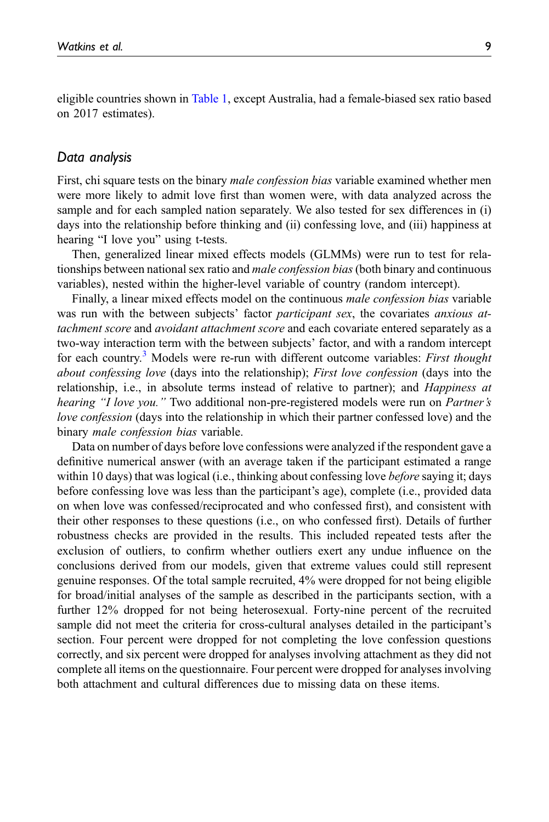eligible countries shown in [Table 1,](#page-5-0) except Australia, had a female-biased sex ratio based on 2017 estimates).

## Data analysis

First, chi square tests on the binary *male confession bias* variable examined whether men were more likely to admit love first than women were, with data analyzed across the sample and for each sampled nation separately. We also tested for sex differences in (i) days into the relationship before thinking and (ii) confessing love, and (iii) happiness at hearing "I love you" using t-tests.

Then, generalized linear mixed effects models (GLMMs) were run to test for relationships between national sex ratio and *male confession bias* (both binary and continuous variables), nested within the higher-level variable of country (random intercept).

Finally, a linear mixed effects model on the continuous *male confession bias* variable was run with the between subjects' factor *participant sex*, the covariates *anxious at*tachment score and *avoidant attachment score* and each covariate entered separately as a two-way interaction term with the between subjects' factor, and with a random intercept for each country.<sup>[3](#page-14-4)</sup> Models were re-run with different outcome variables: *First thought* about confessing love (days into the relationship); First love confession (days into the relationship, i.e., in absolute terms instead of relative to partner); and *Happiness at* hearing "I love you." Two additional non-pre-registered models were run on Partner's love confession (days into the relationship in which their partner confessed love) and the binary male confession bias variable.

Data on number of days before love confessions were analyzed if the respondent gave a definitive numerical answer (with an average taken if the participant estimated a range within 10 days) that was logical (i.e., thinking about confessing love *before* saying it; days before confessing love was less than the participant's age), complete (i.e., provided data on when love was confessed/reciprocated and who confessed first), and consistent with their other responses to these questions (i.e., on who confessed first). Details of further robustness checks are provided in the results. This included repeated tests after the exclusion of outliers, to confirm whether outliers exert any undue influence on the conclusions derived from our models, given that extreme values could still represent genuine responses. Of the total sample recruited, 4% were dropped for not being eligible for broad/initial analyses of the sample as described in the participants section, with a further 12% dropped for not being heterosexual. Forty-nine percent of the recruited sample did not meet the criteria for cross-cultural analyses detailed in the participant's section. Four percent were dropped for not completing the love confession questions correctly, and six percent were dropped for analyses involving attachment as they did not complete all items on the questionnaire. Four percent were dropped for analyses involving both attachment and cultural differences due to missing data on these items.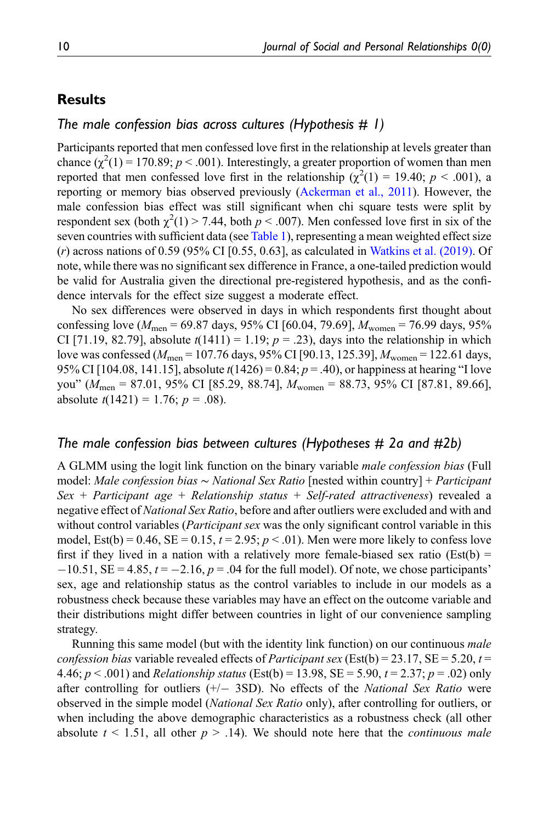# **Results**

## The male confession bias across cultures (Hypothesis  $# I$ )

Participants reported that men confessed love first in the relationship at levels greater than chance  $(\chi^2(1) = 170.89; p < .001)$ . Interestingly, a greater proportion of women than men reported that men confessed love first in the relationship  $(\chi^2(1) = 19.40; p < .001)$ , a reporting or memory bias observed previously ([Ackerman et al., 2011\)](#page-14-0). However, the male confession bias effect was still significant when chi square tests were split by respondent sex (both  $\chi^2(1)$  > 7.44, both  $p < .007$ ). Men confessed love first in six of the seven countries with sufficient data (see [Table 1](#page-5-0)), representing a mean weighted effect size (r) across nations of 0.59 (95% CI [0.55, 0.63], as calculated in [Watkins et al. \(2019\).](#page-19-1) Of note, while there was no significant sex difference in France, a one-tailed prediction would be valid for Australia given the directional pre-registered hypothesis, and as the confidence intervals for the effect size suggest a moderate effect.

No sex differences were observed in days in which respondents first thought about confessing love ( $M_{\text{men}} = 69.87$  days, 95% CI [60.04, 79.69],  $M_{\text{women}} = 76.99$  days, 95% CI [71.19, 82.79], absolute  $t(1411) = 1.19$ ;  $p = .23$ ), days into the relationship in which love was confessed ( $M_{\text{men}}$  = 107.76 days, 95% CI [90.13, 125.39],  $M_{\text{woman}}$  = 122.61 days, 95% CI [104.08, 141.15], absolute  $t(1426) = 0.84$ ;  $p = .40$ ), or happiness at hearing "I love you" ( $M_{\text{men}} = 87.01$ , 95% CI [85.29, 88.74],  $M_{\text{women}} = 88.73$ , 95% CI [87.81, 89.66], absolute  $t(1421) = 1.76$ ;  $p = .08$ ).

## The male confession bias between cultures (Hypotheses # 2a and #2b)

A GLMM using the logit link function on the binary variable male confession bias (Full model: Male confession bias ∼ National Sex Ratio [nested within country] + Participant Sex + Participant age + Relationship status + Self-rated attractiveness) revealed a negative effect of National Sex Ratio, before and after outliers were excluded and with and without control variables (*Participant sex* was the only significant control variable in this model, Est(b) =  $0.46$ , SE =  $0.15$ ,  $t = 2.95$ ;  $p < .01$ ). Men were more likely to confess love first if they lived in a nation with a relatively more female-biased sex ratio (Est(b) =  $-10.51$ , SE = 4.85,  $t = -2.16$ ,  $p = .04$  for the full model). Of note, we chose participants' sex, age and relationship status as the control variables to include in our models as a robustness check because these variables may have an effect on the outcome variable and their distributions might differ between countries in light of our convenience sampling strategy.

Running this same model (but with the identity link function) on our continuous *male* confession bias variable revealed effects of *Participant sex* (Est(b) = 23.17, SE = 5.20, t = 4.46;  $p < .001$ ) and *Relationship status* (Est(b) = 13.98, SE = 5.90,  $t = 2.37$ ;  $p = .02$ ) only after controlling for outliers  $(+/- 3SD)$ . No effects of the *National Sex Ratio* were observed in the simple model (National Sex Ratio only), after controlling for outliers, or when including the above demographic characteristics as a robustness check (all other absolute  $t \le 1.51$ , all other  $p > 0.14$ ). We should note here that the *continuous male*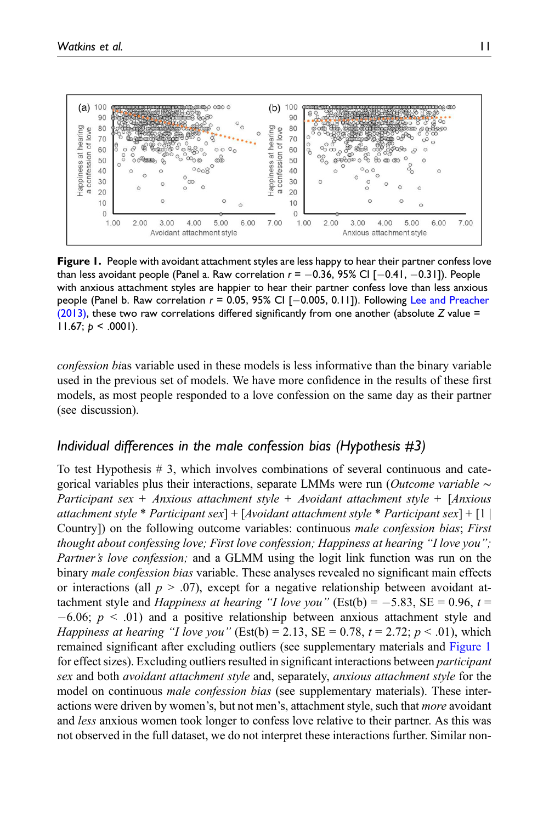

<span id="page-10-0"></span>Figure 1. People with avoidant attachment styles are less happy to hear their partner confess love than less avoidant people (Panel a. Raw correlation  $r = -0.36$ , 95% CI  $[-0.41, -0.31]$ ). People with anxious attachment styles are happier to hear their partner confess love than less anxious people (Panel b. Raw correlation  $r = 0.05$ , 95% CI  $[-0.005, 0.11]$ ). Following [Lee and Preacher](#page-17-14) [\(2013\),](#page-17-14) these two raw correlations differed significantly from one another (absolute Z value = 11.67;  $p < .0001$ ).

confession bias variable used in these models is less informative than the binary variable used in the previous set of models. We have more confidence in the results of these first models, as most people responded to a love confession on the same day as their partner (see discussion).

## Individual differences in the male confession bias (Hypothesis #3)

To test Hypothesis # 3, which involves combinations of several continuous and categorical variables plus their interactions, separate LMMs were run (*Outcome variable*  $\sim$ Participant sex + Anxious attachment style + Avoidant attachment style +  $[Anxious]$ attachment style \* Participant sex] + [Avoidant attachment style \* Participant sex] + [1  $\mid$ Country]) on the following outcome variables: continuous male confession bias; First thought about confessing love; First love confession; Happiness at hearing "I love you"; Partner's love confession; and a GLMM using the logit link function was run on the binary *male confession bias* variable. These analyses revealed no significant main effects or interactions (all  $p > .07$ ), except for a negative relationship between avoidant attachment style and *Happiness at hearing "I love you"* (Est(b) =  $-5.83$ , SE = 0.96, t =  $-6.06$ ;  $p < .01$ ) and a positive relationship between anxious attachment style and *Happiness at hearing "I love you"* (Est(b) = 2.13, SE = 0.78,  $t = 2.72$ ;  $p < .01$ ), which remained significant after excluding outliers (see supplementary materials and [Figure 1](#page-10-0) for effect sizes). Excluding outliers resulted in significant interactions between *participant* sex and both *avoidant attachment style* and, separately, *anxious attachment style* for the model on continuous *male confession bias* (see supplementary materials). These interactions were driven by women's, but not men's, attachment style, such that *more* avoidant and *less* anxious women took longer to confess love relative to their partner. As this was not observed in the full dataset, we do not interpret these interactions further. Similar non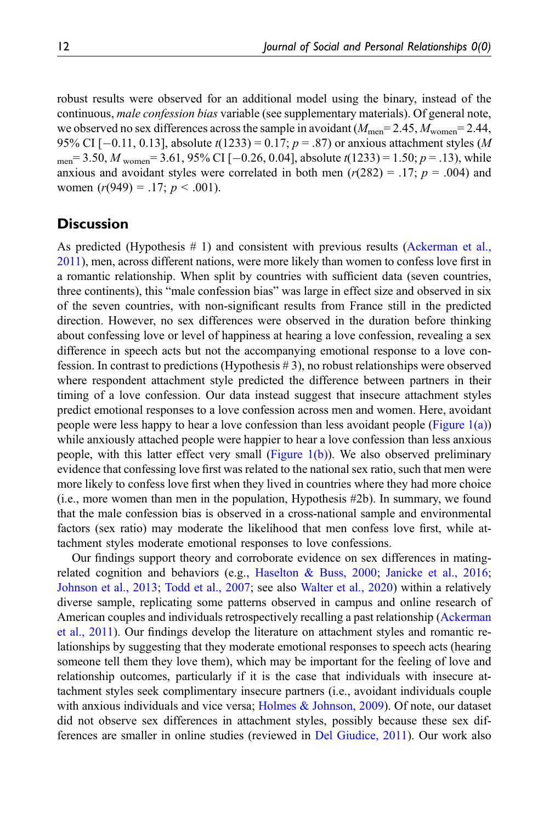robust results were observed for an additional model using the binary, instead of the continuous, *male confession bias* variable (see supplementary materials). Of general note, we observed no sex differences across the sample in avoidant  $(M_{\text{men}}=2.45, M_{\text{women}}=2.44,$ 95% CI  $[-0.11, 0.13]$ , absolute  $t(1233) = 0.17$ ;  $p = .87$ ) or anxious attachment styles (M men= 3.50, M women= 3.61, 95% CI [-0.26, 0.04], absolute  $t(1233) = 1.50$ ;  $p = .13$ ), while anxious and avoidant styles were correlated in both men  $(r(282) = .17; p = .004)$  and women  $(r(949) = .17; p < .001)$ .

# **Discussion**

As predicted (Hypothesis # 1) and consistent with previous results [\(Ackerman et al.,](#page-14-0) [2011\)](#page-14-0), men, across different nations, were more likely than women to confess love first in a romantic relationship. When split by countries with sufficient data (seven countries, three continents), this "male confession bias" was large in effect size and observed in six of the seven countries, with non-significant results from France still in the predicted direction. However, no sex differences were observed in the duration before thinking about confessing love or level of happiness at hearing a love confession, revealing a sex difference in speech acts but not the accompanying emotional response to a love confession. In contrast to predictions (Hypothesis # 3), no robust relationships were observed where respondent attachment style predicted the difference between partners in their timing of a love confession. Our data instead suggest that insecure attachment styles predict emotional responses to a love confession across men and women. Here, avoidant people were less happy to hear a love confession than less avoidant people (Figure  $1(a)$ ) while anxiously attached people were happier to hear a love confession than less anxious people, with this latter effect very small (Figure  $1(b)$ ). We also observed preliminary evidence that confessing love first was related to the national sex ratio, such that men were more likely to confess love first when they lived in countries where they had more choice (i.e., more women than men in the population, Hypothesis #2b). In summary, we found that the male confession bias is observed in a cross-national sample and environmental factors (sex ratio) may moderate the likelihood that men confess love first, while attachment styles moderate emotional responses to love confessions.

Our findings support theory and corroborate evidence on sex differences in matingrelated cognition and behaviors (e.g., [Haselton & Buss, 2000;](#page-16-6) [Janicke et al., 2016;](#page-16-5) [Johnson et al., 2013](#page-17-3); [Todd et al., 2007;](#page-18-0) see also [Walter et al., 2020\)](#page-18-11) within a relatively diverse sample, replicating some patterns observed in campus and online research of American couples and individuals retrospectively recalling a past relationship ([Ackerman](#page-14-0) [et al., 2011\)](#page-14-0). Our findings develop the literature on attachment styles and romantic relationships by suggesting that they moderate emotional responses to speech acts (hearing someone tell them they love them), which may be important for the feeling of love and relationship outcomes, particularly if it is the case that individuals with insecure attachment styles seek complimentary insecure partners (i.e., avoidant individuals couple with anxious individuals and vice versa; [Holmes & Johnson, 2009\)](#page-16-14). Of note, our dataset did not observe sex differences in attachment styles, possibly because these sex differences are smaller in online studies (reviewed in [Del Giudice, 2011\)](#page-15-12). Our work also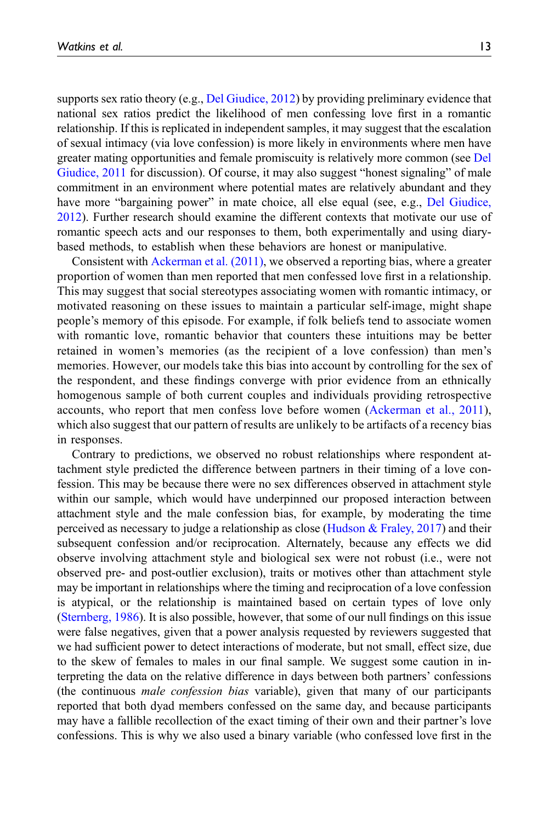supports sex ratio theory (e.g., [Del Giudice, 2012](#page-15-5)) by providing preliminary evidence that national sex ratios predict the likelihood of men confessing love first in a romantic relationship. If this is replicated in independent samples, it may suggest that the escalation of sexual intimacy (via love confession) is more likely in environments where men have greater mating opportunities and female promiscuity is relatively more common (see [Del](#page-15-12) [Giudice, 2011](#page-15-12) for discussion). Of course, it may also suggest "honest signaling" of male commitment in an environment where potential mates are relatively abundant and they have more "bargaining power" in mate choice, all else equal (see, e.g., [Del Giudice,](#page-15-5) [2012\)](#page-15-5). Further research should examine the different contexts that motivate our use of romantic speech acts and our responses to them, both experimentally and using diarybased methods, to establish when these behaviors are honest or manipulative.

Consistent with [Ackerman et al. \(2011\)](#page-14-0), we observed a reporting bias, where a greater proportion of women than men reported that men confessed love first in a relationship. This may suggest that social stereotypes associating women with romantic intimacy, or motivated reasoning on these issues to maintain a particular self-image, might shape people's memory of this episode. For example, if folk beliefs tend to associate women with romantic love, romantic behavior that counters these intuitions may be better retained in women's memories (as the recipient of a love confession) than men's memories. However, our models take this bias into account by controlling for the sex of the respondent, and these findings converge with prior evidence from an ethnically homogenous sample of both current couples and individuals providing retrospective accounts, who report that men confess love before women ([Ackerman et al., 2011](#page-14-0)), which also suggest that our pattern of results are unlikely to be artifacts of a recency bias in responses.

Contrary to predictions, we observed no robust relationships where respondent attachment style predicted the difference between partners in their timing of a love confession. This may be because there were no sex differences observed in attachment style within our sample, which would have underpinned our proposed interaction between attachment style and the male confession bias, for example, by moderating the time perceived as necessary to judge a relationship as close ([Hudson & Fraley, 2017](#page-16-13)) and their subsequent confession and/or reciprocation. Alternately, because any effects we did observe involving attachment style and biological sex were not robust (i.e., were not observed pre- and post-outlier exclusion), traits or motives other than attachment style may be important in relationships where the timing and reciprocation of a love confession is atypical, or the relationship is maintained based on certain types of love only [\(Sternberg, 1986](#page-18-12)). It is also possible, however, that some of our null findings on this issue were false negatives, given that a power analysis requested by reviewers suggested that we had sufficient power to detect interactions of moderate, but not small, effect size, due to the skew of females to males in our final sample. We suggest some caution in interpreting the data on the relative difference in days between both partners' confessions (the continuous male confession bias variable), given that many of our participants reported that both dyad members confessed on the same day, and because participants may have a fallible recollection of the exact timing of their own and their partner's love confessions. This is why we also used a binary variable (who confessed love first in the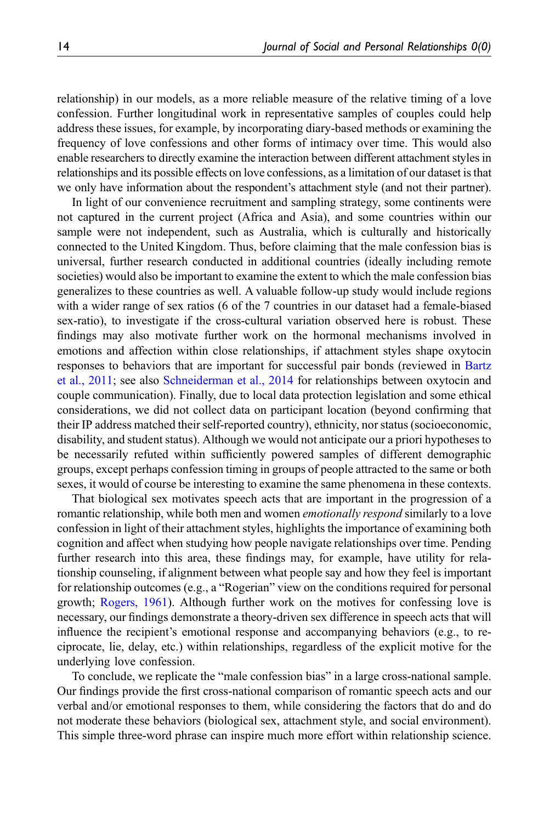relationship) in our models, as a more reliable measure of the relative timing of a love confession. Further longitudinal work in representative samples of couples could help address these issues, for example, by incorporating diary-based methods or examining the frequency of love confessions and other forms of intimacy over time. This would also enable researchers to directly examine the interaction between different attachment styles in relationships and its possible effects on love confessions, as a limitation of our dataset is that we only have information about the respondent's attachment style (and not their partner).

In light of our convenience recruitment and sampling strategy, some continents were not captured in the current project (Africa and Asia), and some countries within our sample were not independent, such as Australia, which is culturally and historically connected to the United Kingdom. Thus, before claiming that the male confession bias is universal, further research conducted in additional countries (ideally including remote societies) would also be important to examine the extent to which the male confession bias generalizes to these countries as well. A valuable follow-up study would include regions with a wider range of sex ratios (6 of the 7 countries in our dataset had a female-biased sex-ratio), to investigate if the cross-cultural variation observed here is robust. These findings may also motivate further work on the hormonal mechanisms involved in emotions and affection within close relationships, if attachment styles shape oxytocin responses to behaviors that are important for successful pair bonds (reviewed in [Bartz](#page-15-7) [et al., 2011](#page-15-7); see also [Schneiderman et al., 2014](#page-18-13) for relationships between oxytocin and couple communication). Finally, due to local data protection legislation and some ethical considerations, we did not collect data on participant location (beyond confirming that their IP address matched their self-reported country), ethnicity, nor status (socioeconomic, disability, and student status). Although we would not anticipate our a priori hypotheses to be necessarily refuted within sufficiently powered samples of different demographic groups, except perhaps confession timing in groups of people attracted to the same or both sexes, it would of course be interesting to examine the same phenomena in these contexts.

That biological sex motivates speech acts that are important in the progression of a romantic relationship, while both men and women *emotionally respond* similarly to a love confession in light of their attachment styles, highlights the importance of examining both cognition and affect when studying how people navigate relationships over time. Pending further research into this area, these findings may, for example, have utility for relationship counseling, if alignment between what people say and how they feel is important for relationship outcomes (e.g., a "Rogerian" view on the conditions required for personal growth; [Rogers, 1961](#page-18-14)). Although further work on the motives for confessing love is necessary, our findings demonstrate a theory-driven sex difference in speech acts that will influence the recipient's emotional response and accompanying behaviors (e.g., to reciprocate, lie, delay, etc.) within relationships, regardless of the explicit motive for the underlying love confession.

To conclude, we replicate the "male confession bias" in a large cross-national sample. Our findings provide the first cross-national comparison of romantic speech acts and our verbal and/or emotional responses to them, while considering the factors that do and do not moderate these behaviors (biological sex, attachment style, and social environment). This simple three-word phrase can inspire much more effort within relationship science.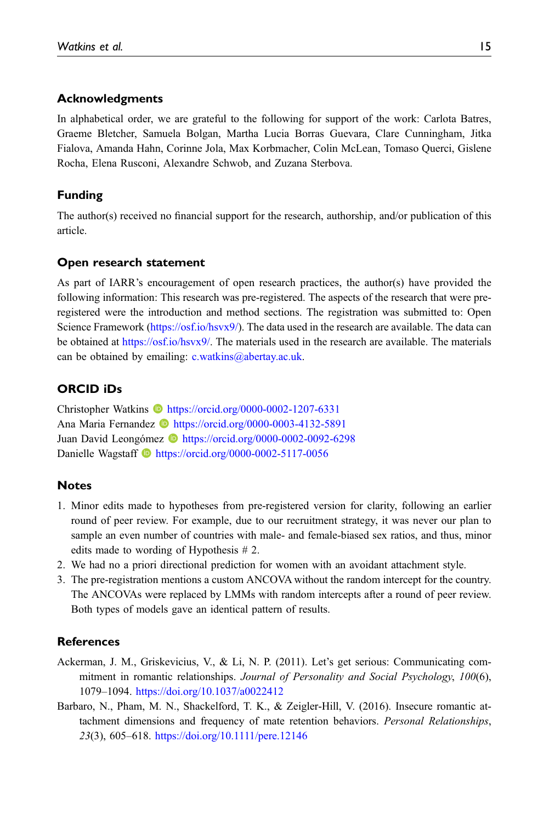### Acknowledgments

In alphabetical order, we are grateful to the following for support of the work: Carlota Batres, Graeme Bletcher, Samuela Bolgan, Martha Lucia Borras Guevara, Clare Cunningham, Jitka Fialova, Amanda Hahn, Corinne Jola, Max Korbmacher, Colin McLean, Tomaso Querci, Gislene Rocha, Elena Rusconi, Alexandre Schwob, and Zuzana Sterbova.

### Funding

The author(s) received no financial support for the research, authorship, and/or publication of this article.

#### Open research statement

As part of IARR's encouragement of open research practices, the author(s) have provided the following information: This research was pre-registered. The aspects of the research that were preregistered were the introduction and method sections. The registration was submitted to: Open Science Framework [\(https://osf.io/hsvx9/\)](https://osf.io/hsvx9/). The data used in the research are available. The data can be obtained at <https://osf.io/hsvx9/>. The materials used in the research are available. The materials can be obtained by emailing: [c.watkins@abertay.ac.uk](mailto:c.watkins@abertay.ac.uk).

#### ORCID iDs

Christopher Watkins **ID** <https://orcid.org/0000-0002-1207-6331> Ana Maria Fernandez **ID** <https://orcid.org/0000-0003-4132-5891> Juan David Leongómez **b** <https://orcid.org/0000-0002-0092-6298> Danielle Wagstaff **b** <https://orcid.org/0000-0002-5117-0056>

#### <span id="page-14-2"></span>**Notes**

- 1. Minor edits made to hypotheses from pre-registered version for clarity, following an earlier round of peer review. For example, due to our recruitment strategy, it was never our plan to sample an even number of countries with male- and female-biased sex ratios, and thus, minor edits made to wording of Hypothesis # 2.
- <span id="page-14-4"></span><span id="page-14-3"></span>2. We had no a priori directional prediction for women with an avoidant attachment style.
- 3. The pre-registration mentions a custom ANCOVA without the random intercept for the country. The ANCOVAs were replaced by LMMs with random intercepts after a round of peer review. Both types of models gave an identical pattern of results.

## <span id="page-14-0"></span>**References**

- <span id="page-14-1"></span>Ackerman, J. M., Griskevicius, V., & Li, N. P. (2011). Let's get serious: Communicating commitment in romantic relationships. Journal of Personality and Social Psychology, 100(6), 1079–1094. <https://doi.org/10.1037/a0022412>
- Barbaro, N., Pham, M. N., Shackelford, T. K., & Zeigler-Hill, V. (2016). Insecure romantic attachment dimensions and frequency of mate retention behaviors. Personal Relationships, 23(3), 605–618. <https://doi.org/10.1111/pere.12146>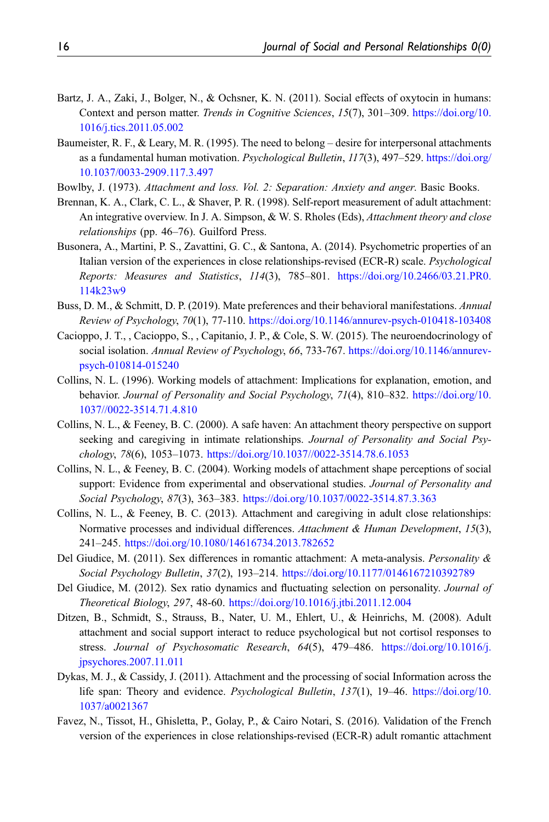- <span id="page-15-7"></span>Bartz, J. A., Zaki, J., Bolger, N., & Ochsner, K. N. (2011). Social effects of oxytocin in humans: Context and person matter. Trends in Cognitive Sciences, 15(7), 301–309. [https://doi.org/10.](https://doi.org/10.1016/j.tics.2011.05.002) [1016/j.tics.2011.05.002](https://doi.org/10.1016/j.tics.2011.05.002)
- <span id="page-15-0"></span>Baumeister, R. F., & Leary, M. R. (1995). The need to belong – desire for interpersonal attachments as a fundamental human motivation. Psychological Bulletin, 117(3), 497–529. [https://doi.org/](https://doi.org/10.1037/0033-2909.117.3.497) [10.1037/0033-2909.117.3.497](https://doi.org/10.1037/0033-2909.117.3.497)
- <span id="page-15-6"></span>Bowlby, J. (1973). Attachment and loss. Vol. 2: Separation: Anxiety and anger. Basic Books.
- <span id="page-15-13"></span>Brennan, K. A., Clark, C. L., & Shaver, P. R. (1998). Self-report measurement of adult attachment: An integrative overview. In J. A. Simpson, & W. S. Rholes (Eds), *Attachment theory and close* relationships (pp. 46–76). Guilford Press.
- <span id="page-15-14"></span>Busonera, A., Martini, P. S., Zavattini, G. C., & Santona, A. (2014). Psychometric properties of an Italian version of the experiences in close relationships-revised (ECR-R) scale. *Psychological* Reports: Measures and Statistics, 114(3), 785–801. [https://doi.org/10.2466/03.21.PR0.](https://doi.org/10.2466/03.21.PR0.114k23w9) [114k23w9](https://doi.org/10.2466/03.21.PR0.114k23w9)
- <span id="page-15-4"></span>Buss, D. M., & Schmitt, D. P. (2019). Mate preferences and their behavioral manifestations. Annual Review of Psychology, 70(1), 77-110. <https://doi.org/10.1146/annurev-psych-010418-103408>
- <span id="page-15-3"></span>Cacioppo, J. T., , Cacioppo, S., , Capitanio, J. P., & Cole, S. W. (2015). The neuroendocrinology of social isolation. Annual Review of Psychology, 66, 733-767. [https://doi.org/10.1146/annurev](https://doi.org/10.1146/annurev-psych-010814-015240)[psych-010814-015240](https://doi.org/10.1146/annurev-psych-010814-015240)
- <span id="page-15-10"></span>Collins, N. L. (1996). Working models of attachment: Implications for explanation, emotion, and behavior. Journal of Personality and Social Psychology, 71(4), 810–832. [https://doi.org/10.](https://doi.org/10.1037//0022-3514.71.4.810) [1037//0022-3514.71.4.810](https://doi.org/10.1037//0022-3514.71.4.810)
- <span id="page-15-8"></span>Collins, N. L., & Feeney, B. C. (2000). A safe haven: An attachment theory perspective on support seeking and caregiving in intimate relationships. Journal of Personality and Social Psychology, 78(6), 1053–1073. <https://doi.org/10.1037//0022-3514.78.6.1053>
- <span id="page-15-11"></span>Collins, N. L., & Feeney, B. C. (2004). Working models of attachment shape perceptions of social support: Evidence from experimental and observational studies. Journal of Personality and Social Psychology, 87(3), 363–383. <https://doi.org/10.1037/0022-3514.87.3.363>
- <span id="page-15-1"></span>Collins, N. L., & Feeney, B. C. (2013). Attachment and caregiving in adult close relationships: Normative processes and individual differences. Attachment & Human Development, 15(3), 241–245. <https://doi.org/10.1080/14616734.2013.782652>
- <span id="page-15-12"></span>Del Giudice, M. (2011). Sex differences in romantic attachment: A meta-analysis. Personality & Social Psychology Bulletin, 37(2), 193–214. <https://doi.org/10.1177/0146167210392789>
- <span id="page-15-5"></span>Del Giudice, M. (2012). Sex ratio dynamics and fluctuating selection on personality. Journal of Theoretical Biology, 297, 48-60. <https://doi.org/10.1016/j.jtbi.2011.12.004>
- <span id="page-15-2"></span>Ditzen, B., Schmidt, S., Strauss, B., Nater, U. M., Ehlert, U., & Heinrichs, M. (2008). Adult attachment and social support interact to reduce psychological but not cortisol responses to stress. Journal of Psychosomatic Research, 64(5), 479–486. [https://doi.org/10.1016/j.](https://doi.org/10.1016/j.jpsychores.2007.11.011) [jpsychores.2007.11.011](https://doi.org/10.1016/j.jpsychores.2007.11.011)
- <span id="page-15-9"></span>Dykas, M. J., & Cassidy, J. (2011). Attachment and the processing of social Information across the life span: Theory and evidence. Psychological Bulletin, 137(1), 19–46. [https://doi.org/10.](https://doi.org/10.1037/a0021367) [1037/a0021367](https://doi.org/10.1037/a0021367)
- <span id="page-15-15"></span>Favez, N., Tissot, H., Ghisletta, P., Golay, P., & Cairo Notari, S. (2016). Validation of the French version of the experiences in close relationships-revised (ECR-R) adult romantic attachment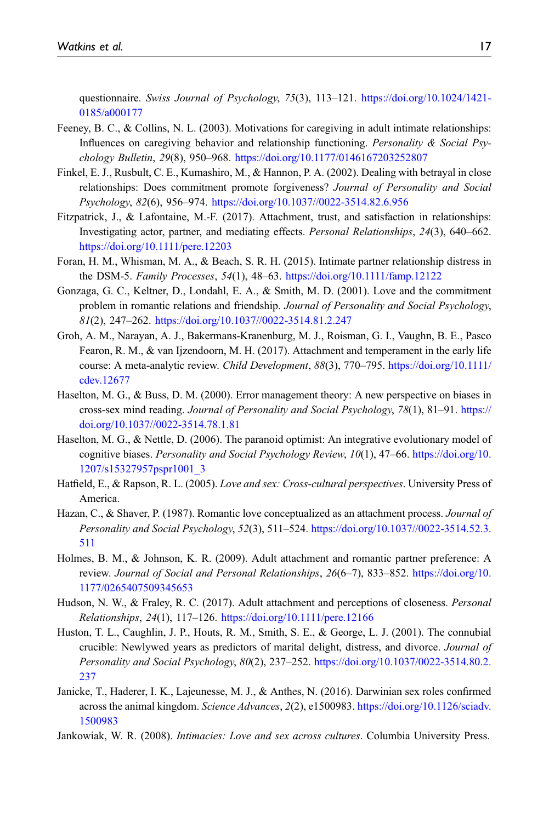questionnaire. Swiss Journal of Psychology, 75(3), 113–121. [https://doi.org/10.1024/1421-](https://doi.org/10.1024/1421-0185/a000177) [0185/a000177](https://doi.org/10.1024/1421-0185/a000177)

- <span id="page-16-12"></span>Feeney, B. C., & Collins, N. L. (2003). Motivations for caregiving in adult intimate relationships: Influences on caregiving behavior and relationship functioning. Personality  $\&$  Social Psychology Bulletin, 29(8), 950–968. <https://doi.org/10.1177/0146167203252807>
- <span id="page-16-2"></span>Finkel, E. J., Rusbult, C. E., Kumashiro, M., & Hannon, P. A. (2002). Dealing with betrayal in close relationships: Does commitment promote forgiveness? Journal of Personality and Social Psychology, 82(6), 956–974. <https://doi.org/10.1037//0022-3514.82.6.956>
- <span id="page-16-11"></span>Fitzpatrick, J., & Lafontaine, M.-F. (2017). Attachment, trust, and satisfaction in relationships: Investigating actor, partner, and mediating effects. Personal Relationships, 24(3), 640–662. <https://doi.org/10.1111/pere.12203>
- <span id="page-16-4"></span>Foran, H. M., Whisman, M. A., & Beach, S. R. H. (2015). Intimate partner relationship distress in the DSM-5. Family Processes, 54(1), 48–63. <https://doi.org/10.1111/famp.12122>
- <span id="page-16-1"></span>Gonzaga, G. C., Keltner, D., Londahl, E. A., & Smith, M. D. (2001). Love and the commitment problem in romantic relations and friendship. Journal of Personality and Social Psychology, 81(2), 247–262. <https://doi.org/10.1037//0022-3514.81.2.247>
- <span id="page-16-9"></span>Groh, A. M., Narayan, A. J., Bakermans-Kranenburg, M. J., Roisman, G. I., Vaughn, B. E., Pasco Fearon, R. M., & van Ijzendoorn, M. H. (2017). Attachment and temperament in the early life course: A meta-analytic review. Child Development, 88(3), 770–795. [https://doi.org/10.1111/](https://doi.org/10.1111/cdev.12677) [cdev.12677](https://doi.org/10.1111/cdev.12677)
- <span id="page-16-6"></span>Haselton, M. G., & Buss, D. M. (2000). Error management theory: A new perspective on biases in cross-sex mind reading. Journal of Personality and Social Psychology, 78(1), 81–91. [https://](https://doi.org/10.1037//0022-3514.78.1.81) [doi.org/10.1037//0022-3514.78.1.81](https://doi.org/10.1037//0022-3514.78.1.81)
- <span id="page-16-7"></span>Haselton, M. G., & Nettle, D. (2006). The paranoid optimist: An integrative evolutionary model of cognitive biases. Personality and Social Psychology Review, 10(1), 47–66. [https://doi.org/10.](https://doi.org/10.1207/s15327957pspr1001_3) [1207/s15327957pspr1001\\_3](https://doi.org/10.1207/s15327957pspr1001_3)
- <span id="page-16-8"></span>Hatfield, E., & Rapson, R. L. (2005). Love and sex: Cross-cultural perspectives. University Press of America.
- <span id="page-16-10"></span>Hazan, C., & Shaver, P. (1987). Romantic love conceptualized as an attachment process. Journal of Personality and Social Psychology, 52(3), 511–524. [https://doi.org/10.1037//0022-3514.52.3.](https://doi.org/10.1037//0022-3514.52.3.511) [511](https://doi.org/10.1037//0022-3514.52.3.511)
- <span id="page-16-14"></span>Holmes, B. M., & Johnson, K. R. (2009). Adult attachment and romantic partner preference: A review. Journal of Social and Personal Relationships, 26(6–7), 833–852. [https://doi.org/10.](https://doi.org/10.1177/0265407509345653) [1177/0265407509345653](https://doi.org/10.1177/0265407509345653)
- <span id="page-16-13"></span>Hudson, N. W., & Fraley, R. C. (2017). Adult attachment and perceptions of closeness. *Personal* Relationships, 24(1), 117–126. <https://doi.org/10.1111/pere.12166>
- <span id="page-16-3"></span>Huston, T. L., Caughlin, J. P., Houts, R. M., Smith, S. E., & George, L. J. (2001). The connubial crucible: Newlywed years as predictors of marital delight, distress, and divorce. Journal of Personality and Social Psychology, 80(2), 237–252. [https://doi.org/10.1037/0022-3514.80.2.](https://doi.org/10.1037/0022-3514.80.2.237) [237](https://doi.org/10.1037/0022-3514.80.2.237)
- <span id="page-16-5"></span>Janicke, T., Haderer, I. K., Lajeunesse, M. J., & Anthes, N. (2016). Darwinian sex roles confirmed across the animal kingdom. Science Advances, 2(2), e1500983. [https://doi.org/10.1126/sciadv.](https://doi.org/10.1126/sciadv.1500983) [1500983](https://doi.org/10.1126/sciadv.1500983)
- <span id="page-16-0"></span>Jankowiak, W. R. (2008). *Intimacies: Love and sex across cultures*. Columbia University Press.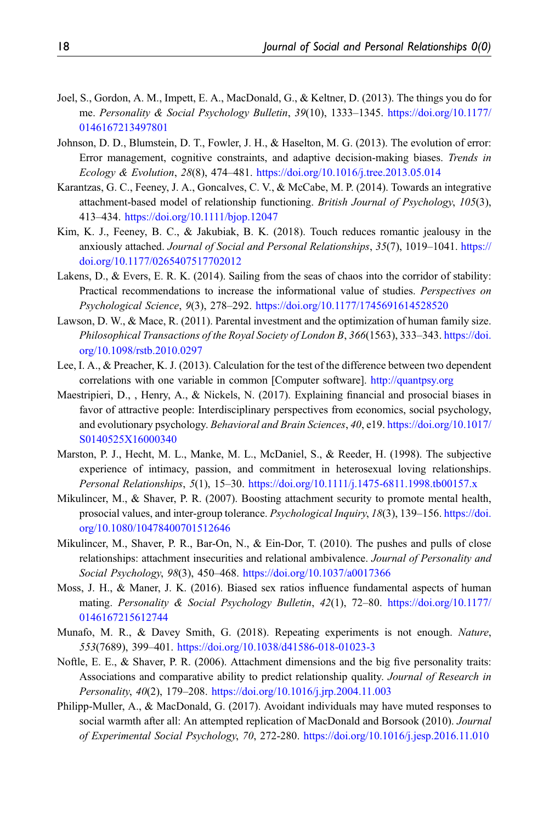- <span id="page-17-0"></span>Joel, S., Gordon, A. M., Impett, E. A., MacDonald, G., & Keltner, D. (2013). The things you do for me. Personality & Social Psychology Bulletin, 39(10), 1333–1345. [https://doi.org/10.1177/](https://doi.org/10.1177/0146167213497801) [0146167213497801](https://doi.org/10.1177/0146167213497801)
- <span id="page-17-3"></span>Johnson, D. D., Blumstein, D. T., Fowler, J. H., & Haselton, M. G. (2013). The evolution of error: Error management, cognitive constraints, and adaptive decision-making biases. Trends in Ecology & Evolution, 28(8), 474–481. <https://doi.org/10.1016/j.tree.2013.05.014>
- <span id="page-17-11"></span>Karantzas, G. C., Feeney, J. A., Goncalves, C. V., & McCabe, M. P. (2014). Towards an integrative attachment-based model of relationship functioning. British Journal of Psychology, 105(3), 413–434. <https://doi.org/10.1111/bjop.12047>
- <span id="page-17-10"></span>Kim, K. J., Feeney, B. C., & Jakubiak, B. K. (2018). Touch reduces romantic jealousy in the anxiously attached. Journal of Social and Personal Relationships, 35(7), 1019–1041. [https://](https://doi.org/10.1177/0265407517702012) [doi.org/10.1177/0265407517702012](https://doi.org/10.1177/0265407517702012)
- <span id="page-17-13"></span>Lakens, D., & Evers, E. R. K. (2014). Sailing from the seas of chaos into the corridor of stability: Practical recommendations to increase the informational value of studies. Perspectives on Psychological Science, 9(3), 278–292. <https://doi.org/10.1177/1745691614528520>
- <span id="page-17-4"></span>Lawson, D. W., & Mace, R. (2011). Parental investment and the optimization of human family size. Philosophical Transactions of the Royal Society of London B, 366(1563), 333–343. [https://doi.](https://doi.org/10.1098/rstb.2010.0297) [org/10.1098/rstb.2010.0297](https://doi.org/10.1098/rstb.2010.0297)
- <span id="page-17-14"></span>Lee, I. A., & Preacher, K. J. (2013). Calculation for the test of the difference between two dependent correlations with one variable in common [Computer software]. <http://quantpsy.org>
- <span id="page-17-12"></span>Maestripieri, D., , Henry, A., & Nickels, N. (2017). Explaining financial and prosocial biases in favor of attractive people: Interdisciplinary perspectives from economics, social psychology, and evolutionary psychology. Behavioral and Brain Sciences, 40, e19. [https://doi.org/10.1017/](https://doi.org/10.1017/S0140525X16000340) [S0140525X16000340](https://doi.org/10.1017/S0140525X16000340)
- <span id="page-17-1"></span>Marston, P. J., Hecht, M. L., Manke, M. L., McDaniel, S., & Reeder, H. (1998). The subjective experience of intimacy, passion, and commitment in heterosexual loving relationships. Personal Relationships, 5(1), 15–30. <https://doi.org/10.1111/j.1475-6811.1998.tb00157.x>
- <span id="page-17-6"></span>Mikulincer, M., & Shaver, P. R. (2007). Boosting attachment security to promote mental health, prosocial values, and inter-group tolerance. Psychological Inquiry, 18(3), 139–156. [https://doi.](https://doi.org/10.1080/10478400701512646) [org/10.1080/10478400701512646](https://doi.org/10.1080/10478400701512646)
- <span id="page-17-7"></span>Mikulincer, M., Shaver, P. R., Bar-On, N., & Ein-Dor, T. (2010). The pushes and pulls of close relationships: attachment insecurities and relational ambivalence. Journal of Personality and Social Psychology, 98(3), 450–468. <https://doi.org/10.1037/a0017366>
- <span id="page-17-5"></span>Moss, J. H., & Maner, J. K. (2016). Biased sex ratios influence fundamental aspects of human mating. Personality & Social Psychology Bulletin, 42(1), 72–80. [https://doi.org/10.1177/](https://doi.org/10.1177/0146167215612744) [0146167215612744](https://doi.org/10.1177/0146167215612744)
- <span id="page-17-2"></span>Munafo, M. R., & Davey Smith, G. (2018). Repeating experiments is not enough. Nature, 553(7689), 399–401. <https://doi.org/10.1038/d41586-018-01023-3>
- <span id="page-17-8"></span>Noftle, E. E., & Shaver, P. R. (2006). Attachment dimensions and the big five personality traits: Associations and comparative ability to predict relationship quality. Journal of Research in Personality, 40(2), 179–208. <https://doi.org/10.1016/j.jrp.2004.11.003>
- <span id="page-17-9"></span>Philipp-Muller, A., & MacDonald, G. (2017). Avoidant individuals may have muted responses to social warmth after all: An attempted replication of MacDonald and Borsook (2010). Journal of Experimental Social Psychology, 70, 272-280. <https://doi.org/10.1016/j.jesp.2016.11.010>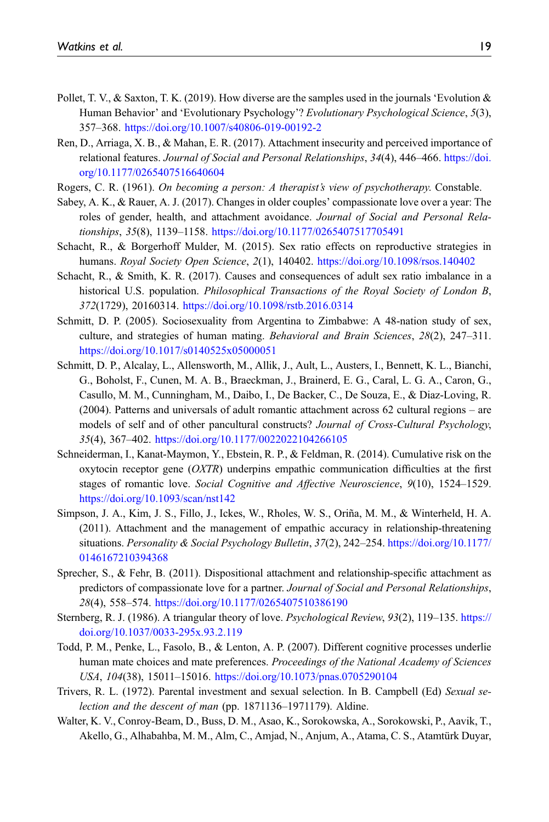- <span id="page-18-2"></span>Pollet, T. V., & Saxton, T. K. (2019). How diverse are the samples used in the journals 'Evolution & Human Behavior' and 'Evolutionary Psychology'? Evolutionary Psychological Science, 5(3), 357–368. <https://doi.org/10.1007/s40806-019-00192-2>
- <span id="page-18-10"></span>Ren, D., Arriaga, X. B., & Mahan, E. R. (2017). Attachment insecurity and perceived importance of relational features. Journal of Social and Personal Relationships, 34(4), 446–466. [https://doi.](https://doi.org/10.1177/0265407516640604) [org/10.1177/0265407516640604](https://doi.org/10.1177/0265407516640604)
- <span id="page-18-14"></span><span id="page-18-7"></span>Rogers, C. R. (1961). On becoming a person: A therapist's view of psychotherapy. Constable.
- Sabey, A. K., & Rauer, A. J. (2017). Changes in older couples' compassionate love over a year: The roles of gender, health, and attachment avoidance. Journal of Social and Personal Relationships, 35(8), 1139–1158. <https://doi.org/10.1177/0265407517705491>
- <span id="page-18-4"></span>Schacht, R., & Borgerhoff Mulder, M. (2015). Sex ratio effects on reproductive strategies in humans. Royal Society Open Science, 2(1), 140402. <https://doi.org/10.1098/rsos.140402>
- <span id="page-18-3"></span>Schacht, R., & Smith, K. R. (2017). Causes and consequences of adult sex ratio imbalance in a historical U.S. population. *Philosophical Transactions of the Royal Society of London B*, 372(1729), 20160314. <https://doi.org/10.1098/rstb.2016.0314>
- <span id="page-18-5"></span>Schmitt, D. P. (2005). Sociosexuality from Argentina to Zimbabwe: A 48-nation study of sex, culture, and strategies of human mating. Behavioral and Brain Sciences, 28(2), 247–311. <https://doi.org/10.1017/s0140525x05000051>
- <span id="page-18-6"></span>Schmitt, D. P., Alcalay, L., Allensworth, M., Allik, J., Ault, L., Austers, I., Bennett, K. L., Bianchi, G., Boholst, F., Cunen, M. A. B., Braeckman, J., Brainerd, E. G., Caral, L. G. A., Caron, G., Casullo, M. M., Cunningham, M., Daibo, I., De Backer, C., De Souza, E., & Diaz-Loving, R. (2004). Patterns and universals of adult romantic attachment across 62 cultural regions – are models of self and of other pancultural constructs? Journal of Cross-Cultural Psychology, 35(4), 367–402. <https://doi.org/10.1177/0022022104266105>
- <span id="page-18-13"></span>Schneiderman, I., Kanat-Maymon, Y., Ebstein, R. P., & Feldman, R. (2014). Cumulative risk on the oxytocin receptor gene  $(OXTR)$  underpins empathic communication difficulties at the first stages of romantic love. Social Cognitive and Affective Neuroscience, 9(10), 1524–1529. <https://doi.org/10.1093/scan/nst142>
- <span id="page-18-9"></span>Simpson, J. A., Kim, J. S., Fillo, J., Ickes, W., Rholes, W. S., Oriña, M. M., & Winterheld, H. A. (2011). Attachment and the management of empathic accuracy in relationship-threatening situations. Personality & Social Psychology Bulletin, 37(2), 242–254. [https://doi.org/10.1177/](https://doi.org/10.1177/0146167210394368) [0146167210394368](https://doi.org/10.1177/0146167210394368)
- <span id="page-18-8"></span>Sprecher, S., & Fehr, B. (2011). Dispositional attachment and relationship-specific attachment as predictors of compassionate love for a partner. Journal of Social and Personal Relationships, 28(4), 558–574. <https://doi.org/10.1177/0265407510386190>
- <span id="page-18-12"></span>Sternberg, R. J. (1986). A triangular theory of love. Psychological Review, 93(2), 119–135. [https://](https://doi.org/10.1037/0033-295x.93.2.119) [doi.org/10.1037/0033-295x.93.2.119](https://doi.org/10.1037/0033-295x.93.2.119)
- <span id="page-18-0"></span>Todd, P. M., Penke, L., Fasolo, B., & Lenton, A. P. (2007). Different cognitive processes underlie human mate choices and mate preferences. Proceedings of the National Academy of Sciences USA, 104(38), 15011–15016. <https://doi.org/10.1073/pnas.0705290104>
- <span id="page-18-1"></span>Trivers, R. L. (1972). Parental investment and sexual selection. In B. Campbell (Ed) Sexual selection and the descent of man (pp. 1871136–1971179). Aldine.
- <span id="page-18-11"></span>Walter, K. V., Conroy-Beam, D., Buss, D. M., Asao, K., Sorokowska, A., Sorokowski, P., Aavik, T., Akello, G., Alhabahba, M. M., Alm, C., Amjad, N., Anjum, A., Atama, C. S., Atamtürk Duyar,